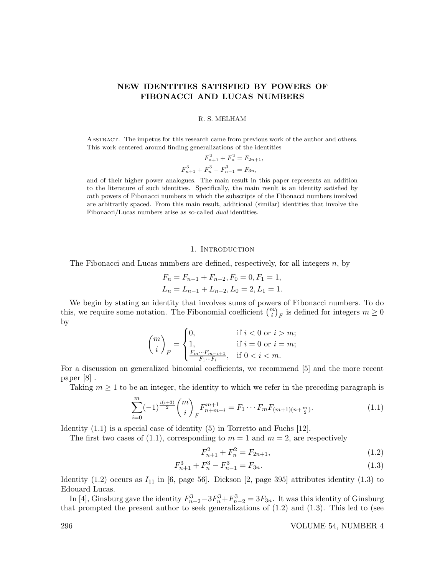# NEW IDENTITIES SATISFIED BY POWERS OF FIBONACCI AND LUCAS NUMBERS

### R. S. MELHAM

Abstract. The impetus for this research came from previous work of the author and others. This work centered around finding generalizations of the identities

$$
F_{n+1}^2 + F_n^2 = F_{2n+1},
$$
  

$$
F_{n+1}^3 + F_n^3 - F_{n-1}^3 = F_{3n},
$$

and of their higher power analogues. The main result in this paper represents an addition to the literature of such identities. Specifically, the main result is an identity satisfied by mth powers of Fibonacci numbers in which the subscripts of the Fibonacci numbers involved are arbitrarily spaced. From this main result, additional (similar) identities that involve the Fibonacci/Lucas numbers arise as so-called dual identities.

#### 1. INTRODUCTION

The Fibonacci and Lucas numbers are defined, respectively, for all integers n, by

$$
F_n = F_{n-1} + F_{n-2}, F_0 = 0, F_1 = 1,
$$
  
\n
$$
L_n = L_{n-1} + L_{n-2}, L_0 = 2, L_1 = 1.
$$

We begin by stating an identity that involves sums of powers of Fibonacci numbers. To do this, we require some notation. The Fibonomial coefficient  $\binom{m}{i}_F$  is defined for integers  $m \geq 0$ by

$$
\binom{m}{i}_F = \begin{cases} 0, & \text{if } i < 0 \text{ or } i > m; \\ 1, & \text{if } i = 0 \text{ or } i = m; \\ \frac{F_m \cdots F_{m-i+1}}{F_1 \cdots F_i}, & \text{if } 0 < i < m. \end{cases}
$$

For a discussion on generalized binomial coefficients, we recommend [5] and the more recent paper [8] .

Taking  $m \geq 1$  to be an integer, the identity to which we refer in the preceding paragraph is

$$
\sum_{i=0}^{m} (-1)^{\frac{i(i+3)}{2}} \binom{m}{i} \, F_{n+m-i}^{m+1} = F_1 \cdots F_m F_{(m+1)(n+\frac{m}{2})}.
$$
\n(1.1)

Identity (1.1) is a special case of identity (5) in Torretto and Fuchs [12].

The first two cases of (1.1), corresponding to  $m = 1$  and  $m = 2$ , are respectively

$$
F_{n+1}^2 + F_n^2 = F_{2n+1},\tag{1.2}
$$

$$
F_{n+1}^3 + F_n^3 - F_{n-1}^3 = F_{3n}.
$$
\n(1.3)

Identity (1.2) occurs as  $I_{11}$  in [6, page 56]. Dickson [2, page 395] attributes identity (1.3) to Edouard Lucas.

In [4], Ginsburg gave the identity  $F_{n+2}^3 - 3F_n^3 + F_{n-2}^3 = 3F_{3n}$ . It was this identity of Ginsburg that prompted the present author to seek generalizations of (1.2) and (1.3). This led to (see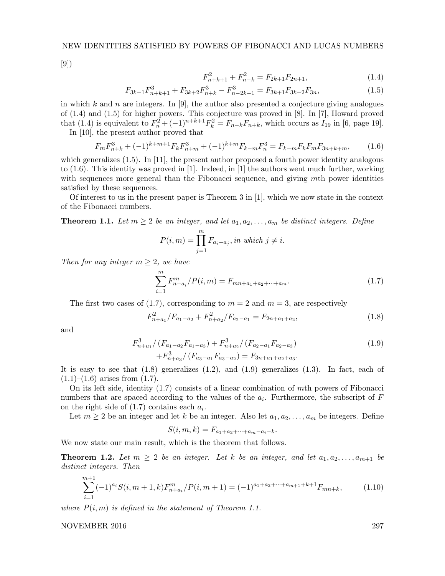[9])

$$
F_{n+k+1}^2 + F_{n-k}^2 = F_{2k+1}F_{2n+1},
$$
\n(1.4)

$$
F_{3k+1}F_{n+k+1}^3 + F_{3k+2}F_{n+k}^3 - F_{n-2k-1}^3 = F_{3k+1}F_{3k+2}F_{3n},\tag{1.5}
$$

in which k and n are integers. In [9], the author also presented a conjecture giving analogues of (1.4) and (1.5) for higher powers. This conjecture was proved in [8]. In [7], Howard proved that (1.4) is equivalent to  $F_n^2 + (-1)^{n+k+1} F_k^2 = F_{n-k} F_{n+k}$ , which occurs as  $I_{19}$  in [6, page 19].

In [10], the present author proved that

$$
F_m F_{n+k}^3 + (-1)^{k+m+1} F_k F_{n+m}^3 + (-1)^{k+m} F_{k-m} F_n^3 = F_{k-m} F_k F_m F_{3n+k+m}, \tag{1.6}
$$

which generalizes (1.5). In [11], the present author proposed a fourth power identity analogous to (1.6). This identity was proved in [1]. Indeed, in [1] the authors went much further, working with sequences more general than the Fibonacci sequence, and giving mth power identities satisfied by these sequences.

Of interest to us in the present paper is Theorem 3 in [1], which we now state in the context of the Fibonacci numbers.

**Theorem 1.1.** Let  $m \geq 2$  be an integer, and let  $a_1, a_2, \ldots, a_m$  be distinct integers. Define

$$
P(i,m) = \prod_{j=1}^{m} F_{a_i - a_j}, \text{ in which } j \neq i.
$$

Then for any integer  $m \geq 2$ , we have

$$
\sum_{i=1}^{m} F_{n+a_i}^{m} / P(i, m) = F_{mn+a_1+a_2+\cdots+a_m}.
$$
 (1.7)

The first two cases of (1.7), corresponding to  $m = 2$  and  $m = 3$ , are respectively

$$
F_{n+a_1}^2/F_{a_1-a_2} + F_{n+a_2}^2/F_{a_2-a_1} = F_{2n+a_1+a_2},
$$
\n(1.8)

and

$$
F_{n+a_1}^3 / (F_{a_1-a_2}F_{a_1-a_3}) + F_{n+a_2}^3 / (F_{a_2-a_1}F_{a_2-a_3})
$$
  
+
$$
F_{n+a_3}^3 / (F_{a_3-a_1}F_{a_3-a_2}) = F_{3n+a_1+a_2+a_3}.
$$
 (1.9)

It is easy to see that  $(1.8)$  generalizes  $(1.2)$ , and  $(1.9)$  generalizes  $(1.3)$ . In fact, each of  $(1.1)–(1.6)$  arises from  $(1.7)$ .

On its left side, identity (1.7) consists of a linear combination of mth powers of Fibonacci numbers that are spaced according to the values of the  $a_i$ . Furthermore, the subscript of F on the right side of  $(1.7)$  contains each  $a_i$ .

Let  $m \geq 2$  be an integer and let k be an integer. Also let  $a_1, a_2, \ldots, a_m$  be integers. Define

$$
S(i, m, k) = F_{a_1 + a_2 + \dots + a_m - a_i - k}.
$$

We now state our main result, which is the theorem that follows.

**Theorem 1.2.** Let  $m \geq 2$  be an integer. Let k be an integer, and let  $a_1, a_2, \ldots, a_{m+1}$  be distinct integers. Then

$$
\sum_{i=1}^{m+1} (-1)^{a_i} S(i, m+1, k) F_{n+a_i}^m / P(i, m+1) = (-1)^{a_1+a_2+\dots+a_{m+1}+k+1} F_{mn+k}, \tag{1.10}
$$

where  $P(i, m)$  is defined in the statement of Theorem 1.1.

#### NOVEMBER 2016 297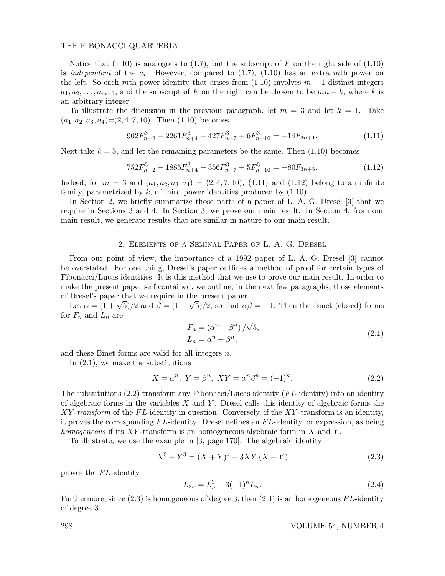#### THE FIBONACCI QUARTERLY

Notice that  $(1.10)$  is analogous to  $(1.7)$ , but the subscript of F on the right side of  $(1.10)$ is *independent* of the  $a_i$ . However, compared to  $(1.7)$ ,  $(1.10)$  has an extra mth power on the left. So each mth power identity that arises from  $(1.10)$  involves  $m + 1$  distinct integers  $a_1, a_2, \ldots, a_{m+1}$ , and the subscript of F on the right can be chosen to be  $mn + k$ , where k is an arbitrary integer.

To illustrate the discussion in the previous paragraph, let  $m = 3$  and let  $k = 1$ . Take  $(a_1, a_2, a_3, a_4) = (2, 4, 7, 10)$ . Then  $(1.10)$  becomes

$$
902F_{n+2}^3 - 2261F_{n+4}^3 - 427F_{n+7}^3 + 6F_{n+10}^3 = -14F_{3n+1}.
$$
\n(1.11)

Next take  $k = 5$ , and let the remaining parameters be the same. Then  $(1.10)$  becomes

$$
752F_{n+2}^3 - 1885F_{n+4}^3 - 356F_{n+7}^3 + 5F_{n+10}^3 = -80F_{3n+5}.
$$
\n(1.12)

Indeed, for  $m = 3$  and  $(a_1, a_2, a_3, a_4) = (2, 4, 7, 10)$ , (1.11) and (1.12) belong to an infinite family, parametrized by  $k$ , of third power identities produced by  $(1.10)$ .

In Section 2, we briefly summarize those parts of a paper of L. A. G. Dresel [3] that we require in Sections 3 and 4. In Section 3, we prove our main result. In Section 4, from our main result, we generate results that are similar in nature to our main result.

## 2. Elements of a Seminal Paper of L. A. G. Dresel

From our point of view, the importance of a 1992 paper of L. A. G. Dresel [3] cannot be overstated. For one thing, Dresel's paper outlines a method of proof for certain types of Fibonacci/Lucas identities. It is this method that we use to prove our main result. In order to make the present paper self contained, we outline, in the next few paragraphs, those elements of Dresel's paper that we require in the present paper.

Let  $\alpha = (1 + \sqrt{5})/2$  and  $\beta = (1 - \sqrt{5})/2$ , so that  $\alpha\beta = -1$ . Then the Binet (closed) forms for  $F_n$  and  $L_n$  are

$$
F_n = \left(\alpha^n - \beta^n\right) / \sqrt{5},
$$
  
\n
$$
L_n = \alpha^n + \beta^n,
$$
\n(2.1)

and these Binet forms are valid for all integers n.

In (2.1), we make the substitutions

$$
X = \alpha^n, Y = \beta^n, XY = \alpha^n \beta^n = (-1)^n.
$$
\n
$$
(2.2)
$$

The substitutions  $(2.2)$  transform any Fibonacci/Lucas identity (FL-identity) into an identity of algebraic forms in the variables  $X$  and  $Y$ . Dresel calls this identity of algebraic forms the  $XY$ -transform of the FL-identity in question. Conversely, if the XY-transform is an identity, it proves the corresponding  $FL$ -identity. Dresel defines an  $FL$ -identity, or expression, as being homogeneous if its  $XY$ -transform is an homogeneous algebraic form in X and Y.

To illustrate, we use the example in [3, page 170]. The algebraic identity

$$
X^{3} + Y^{3} = (X + Y)^{3} - 3XY(X + Y)
$$
\n(2.3)

proves the  $FL$ -identity

$$
L_{3n} = L_n^3 - 3(-1)^n L_n.
$$
\n(2.4)

Furthermore, since  $(2.3)$  is homogeneous of degree 3, then  $(2.4)$  is an homogeneous FL-identity of degree 3.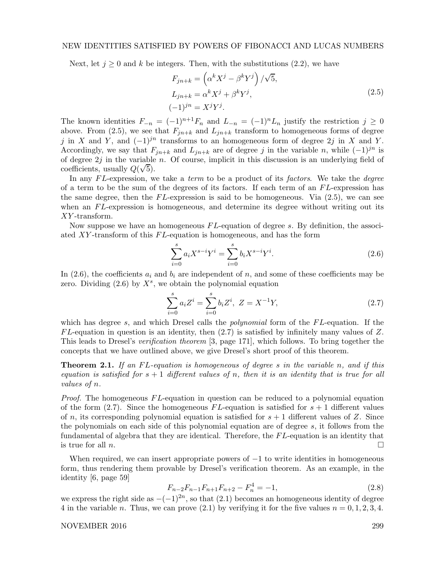#### NEW IDENTITIES SATISFIED BY POWERS OF FIBONACCI AND LUCAS NUMBERS

Next, let  $j \geq 0$  and k be integers. Then, with the substitutions (2.2), we have

$$
F_{jn+k} = \left(\alpha^k X^j - \beta^k Y^j\right) / \sqrt{5},
$$
  
\n
$$
L_{jn+k} = \alpha^k X^j + \beta^k Y^j,
$$
  
\n
$$
(-1)^{jn} = X^j Y^j.
$$
\n(2.5)

The known identities  $F_{-n} = (-1)^{n+1}F_n$  and  $L_{-n} = (-1)^nL_n$  justify the restriction  $j \ge 0$ above. From (2.5), we see that  $F_{jn+k}$  and  $L_{jn+k}$  transform to homogeneous forms of degree j in X and Y, and  $(-1)^{jn}$  transforms to an homogeneous form of degree 2j in X and Y. Accordingly, we say that  $F_{in+k}$  and  $L_{in+k}$  are of degree j in the variable n, while  $(-1)^{jn}$  is of degree  $2j$  in the variable n. Of course, implicit in this discussion is an underlying field of coefficients, usually  $Q(\sqrt{5})$ .

In any  $FL$ -expression, we take a *term* to be a product of its *factors*. We take the *degree* of a term to be the sum of the degrees of its factors. If each term of an  $FL$ -expression has the same degree, then the  $FL$ -expression is said to be homogeneous. Via  $(2.5)$ , we can see when an  $FL$ -expression is homogeneous, and determine its degree without writing out its XY -transform.

Now suppose we have an homogeneous  $FL$ -equation of degree s. By definition, the associated  $XY$ -transform of this  $FL$ -equation is homogeneous, and has the form

$$
\sum_{i=0}^{s} a_i X^{s-i} Y^i = \sum_{i=0}^{s} b_i X^{s-i} Y^i.
$$
\n(2.6)

In (2.6), the coefficients  $a_i$  and  $b_i$  are independent of n, and some of these coefficients may be zero. Dividing  $(2.6)$  by  $X^s$ , we obtain the polynomial equation

$$
\sum_{i=0}^{s} a_i Z^i = \sum_{i=0}^{s} b_i Z^i, \ Z = X^{-1} Y,
$$
\n(2.7)

which has degree s, and which Dresel calls the *polynomial* form of the  $FL$ -equation. If the  $FL$ -equation in question is an identity, then  $(2.7)$  is satisfied by infinitely many values of Z. This leads to Dresel's verification theorem [3, page 171], which follows. To bring together the concepts that we have outlined above, we give Dresel's short proof of this theorem.

**Theorem 2.1.** If an FL-equation is homogeneous of degree s in the variable n, and if this equation is satisfied for  $s + 1$  different values of n, then it is an identity that is true for all values of n.

*Proof.* The homogeneous  $FL$ -equation in question can be reduced to a polynomial equation of the form (2.7). Since the homogeneous FL-equation is satisfied for  $s + 1$  different values of n, its corresponding polynomial equation is satisfied for  $s + 1$  different values of Z. Since the polynomials on each side of this polynomial equation are of degree s, it follows from the fundamental of algebra that they are identical. Therefore, the  $FL$ -equation is an identity that is true for all n.

When required, we can insert appropriate powers of  $-1$  to write identities in homogeneous form, thus rendering them provable by Dresel's verification theorem. As an example, in the identity [6, page 59]

$$
F_{n-2}F_{n-1}F_{n+1}F_{n+2} - F_n^4 = -1,
$$
\n(2.8)

we express the right side as  $-(-1)^{2n}$ , so that  $(2.1)$  becomes an homogeneous identity of degree 4 in the variable n. Thus, we can prove (2.1) by verifying it for the five values  $n = 0, 1, 2, 3, 4$ .

NOVEMBER 2016 299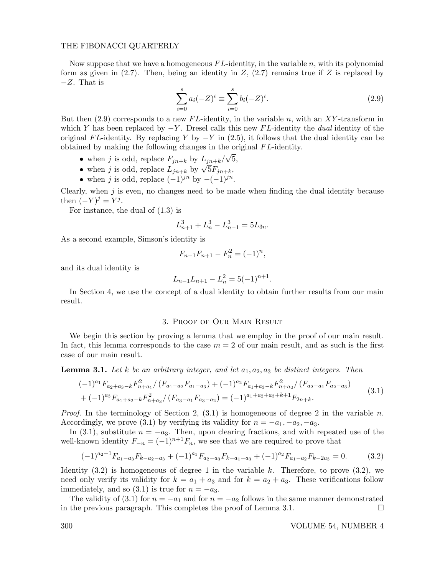#### THE FIBONACCI QUARTERLY

Now suppose that we have a homogeneous  $FL$ -identity, in the variable n, with its polynomial form as given in (2.7). Then, being an identity in  $Z$ , (2.7) remains true if  $Z$  is replaced by −Z. That is

$$
\sum_{i=0}^{s} a_i (-Z)^i \equiv \sum_{i=0}^{s} b_i (-Z)^i.
$$
\n(2.9)

But then  $(2.9)$  corresponds to a new FL-identity, in the variable n, with an XY-transform in which Y has been replaced by  $-Y$ . Dresel calls this new FL-identity the *dual* identity of the original FL-identity. By replacing Y by  $-Y$  in (2.5), it follows that the dual identity can be obtained by making the following changes in the original  $FL$ -identity.

- when j is odd, replace  $F_{jn+k}$  by  $L_{jn+k}/\sqrt{5}$ ,
- when j is odd, replace  $L_{jn+k}$  by  $\sqrt{5}F_{jn+k}$ ,
- when j is odd, replace  $(-1)^{jn}$  by  $-(-1)^{jn}$ .

Clearly, when  $j$  is even, no changes need to be made when finding the dual identity because then  $(-Y)^j = Y^j$ .

For instance, the dual of (1.3) is

$$
L_{n+1}^3 + L_n^3 - L_{n-1}^3 = 5L_{3n}.
$$

As a second example, Simson's identity is

$$
F_{n-1}F_{n+1} - F_n^2 = (-1)^n,
$$

and its dual identity is

$$
L_{n-1}L_{n+1} - L_n^2 = 5(-1)^{n+1}.
$$

In Section 4, we use the concept of a dual identity to obtain further results from our main result.

#### 3. Proof of Our Main Result

We begin this section by proving a lemma that we employ in the proof of our main result. In fact, this lemma corresponds to the case  $m = 2$  of our main result, and as such is the first case of our main result.

**Lemma 3.1.** Let k be an arbitrary integer, and let  $a_1, a_2, a_3$  be distinct integers. Then

$$
(-1)^{a_1} F_{a_2+a_3-k} F_{n+a_1}^2 / (F_{a_1-a_2} F_{a_1-a_3}) + (-1)^{a_2} F_{a_1+a_3-k} F_{n+a_2}^2 / (F_{a_2-a_1} F_{a_2-a_3})
$$
  
+ 
$$
(-1)^{a_3} F_{a_1+a_2-k} F_{n+a_3}^2 / (F_{a_3-a_1} F_{a_3-a_2}) = (-1)^{a_1+a_2+a_3+k+1} F_{2n+k}.
$$
 (3.1)

*Proof.* In the terminology of Section 2,  $(3.1)$  is homogeneous of degree 2 in the variable n. Accordingly, we prove (3.1) by verifying its validity for  $n = -a_1, -a_2, -a_3$ .

In (3.1), substitute  $n = -a_3$ . Then, upon clearing fractions, and with repeated use of the well-known identity  $F_{-n} = (-1)^{n+1} F_n$ , we see that we are required to prove that

$$
(-1)^{a_2+1}F_{a_1-a_3}F_{k-a_2-a_3} + (-1)^{a_1}F_{a_2-a_3}F_{k-a_1-a_3} + (-1)^{a_2}F_{a_1-a_2}F_{k-2a_3} = 0.
$$
 (3.2)

Identity  $(3.2)$  is homogeneous of degree 1 in the variable k. Therefore, to prove  $(3.2)$ , we need only verify its validity for  $k = a_1 + a_3$  and for  $k = a_2 + a_3$ . These verifications follow immediately, and so (3.1) is true for  $n = -a_3$ .

The validity of (3.1) for  $n = -a_1$  and for  $n = -a_2$  follows in the same manner demonstrated the previous paragraph. This completes the proof of Lemma 3.1. in the previous paragraph. This completes the proof of Lemma 3.1.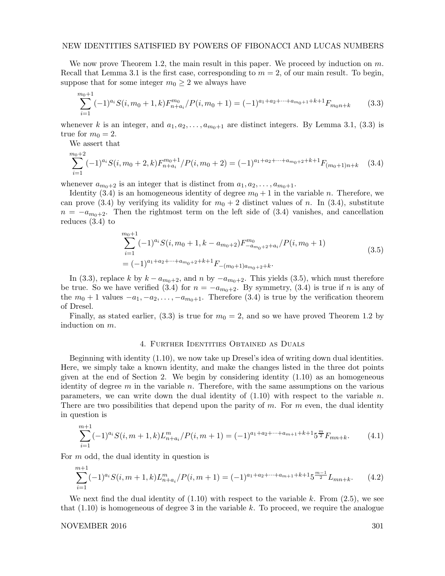#### NEW IDENTITIES SATISFIED BY POWERS OF FIBONACCI AND LUCAS NUMBERS

We now prove Theorem 1.2, the main result in this paper. We proceed by induction on  $m$ . Recall that Lemma 3.1 is the first case, corresponding to  $m = 2$ , of our main result. To begin, suppose that for some integer  $m_0 \geq 2$  we always have

$$
\sum_{i=1}^{m_0+1} (-1)^{a_i} S(i, m_0+1, k) F_{n+a_i}^{m_0} / P(i, m_0+1) = (-1)^{a_1+a_2+\dots+a_{m_0+1}+k+1} F_{m_0n+k}
$$
 (3.3)

whenever k is an integer, and  $a_1, a_2, \ldots, a_{m_0+1}$  are distinct integers. By Lemma 3.1, (3.3) is true for  $m_0 = 2$ .

We assert that

$$
\sum_{i=1}^{m_0+2} (-1)^{a_i} S(i, m_0+2, k) F_{n+a_i}^{m_0+1} / P(i, m_0+2) = (-1)^{a_1+a_2+\dots+a_{m_0+2}+k+1} F_{(m_0+1)n+k}
$$
 (3.4)

whenever  $a_{m_0+2}$  is an integer that is distinct from  $a_1, a_2, \ldots, a_{m_0+1}$ .

Identity (3.4) is an homogeneous identity of degree  $m_0 + 1$  in the variable n. Therefore, we can prove (3.4) by verifying its validity for  $m_0 + 2$  distinct values of n. In (3.4), substitute  $n = -a_{m_0+2}$ . Then the rightmost term on the left side of (3.4) vanishes, and cancellation reduces (3.4) to

$$
\sum_{i=1}^{m_0+1} (-1)^{a_i} S(i, m_0+1, k-a_{m_0+2}) F_{-a_{m_0+2}+a_i}^{m_0} / P(i, m_0+1)
$$
  
=  $(-1)^{a_1+a_2+\cdots+a_{m_0+2}+k+1} F_{-(m_0+1)a_{m_0+2}+k}.$  (3.5)

In (3.3), replace k by  $k - a_{m_0+2}$ , and n by  $-a_{m_0+2}$ . This yields (3.5), which must therefore be true. So we have verified (3.4) for  $n = -a_{m_0+2}$ . By symmetry, (3.4) is true if n is any of the  $m_0 + 1$  values  $-a_1, -a_2, \ldots, -a_{m_0+1}$ . Therefore (3.4) is true by the verification theorem of Dresel.

Finally, as stated earlier,  $(3.3)$  is true for  $m_0 = 2$ , and so we have proved Theorem 1.2 by induction on m.

## 4. Further Identities Obtained as Duals

Beginning with identity (1.10), we now take up Dresel's idea of writing down dual identities. Here, we simply take a known identity, and make the changes listed in the three dot points given at the end of Section 2. We begin by considering identity  $(1.10)$  as an homogeneous identity of degree  $m$  in the variable  $n$ . Therefore, with the same assumptions on the various parameters, we can write down the dual identity of  $(1.10)$  with respect to the variable n. There are two possibilities that depend upon the parity of  $m$ . For  $m$  even, the dual identity in question is

$$
\sum_{i=1}^{m+1} (-1)^{a_i} S(i, m+1, k) L_{n+a_i}^m / P(i, m+1) = (-1)^{a_1+a_2+\dots+a_{m+1}+k+1} 5^{\frac{m}{2}} F_{mn+k}.
$$
 (4.1)

For m odd, the dual identity in question is

$$
\sum_{i=1}^{m+1} (-1)^{a_i} S(i, m+1, k) L_{n+a_i}^m / P(i, m+1) = (-1)^{a_1+a_2+\dots+a_{m+1}+k+1} 5^{\frac{m-1}{2}} L_{mn+k}.
$$
 (4.2)

We next find the dual identity of  $(1.10)$  with respect to the variable k. From  $(2.5)$ , we see that  $(1.10)$  is homogeneous of degree 3 in the variable k. To proceed, we require the analogue

### NOVEMBER 2016 301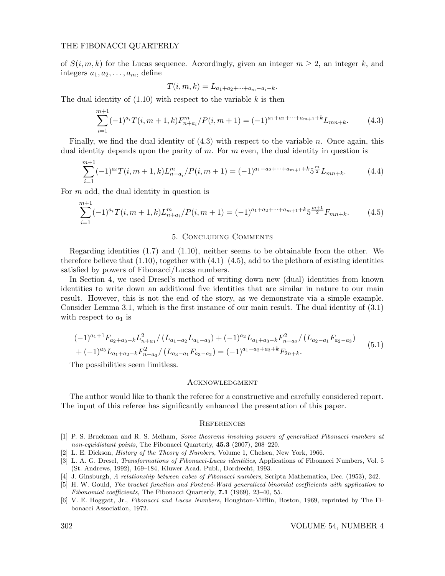#### THE FIBONACCI QUARTERLY

of  $S(i, m, k)$  for the Lucas sequence. Accordingly, given an integer  $m \geq 2$ , an integer k, and integers  $a_1, a_2, \ldots, a_m$ , define

$$
T(i, m, k) = L_{a_1 + a_2 + \dots + a_m - a_i - k}.
$$

The dual identity of  $(1.10)$  with respect to the variable k is then

$$
\sum_{i=1}^{m+1} (-1)^{a_i} T(i, m+1, k) F_{n+a_i}^m / P(i, m+1) = (-1)^{a_1+a_2+\cdots+a_{m+1}+k} L_{mn+k}.
$$
 (4.3)

Finally, we find the dual identity of  $(4.3)$  with respect to the variable n. Once again, this dual identity depends upon the parity of m. For m even, the dual identity in question is

$$
\sum_{i=1}^{m+1} (-1)^{a_i} T(i, m+1, k) L_{n+a_i}^m / P(i, m+1) = (-1)^{a_1+a_2+\dots+a_{m+1}+k} 5^{\frac{m}{2}} L_{mn+k}.
$$
 (4.4)

For m odd, the dual identity in question is

$$
\sum_{i=1}^{m+1} (-1)^{a_i} T(i, m+1, k) L_{n+a_i}^m / P(i, m+1) = (-1)^{a_1+a_2+\dots+a_{m+1}+k} 5^{\frac{m+1}{2}} F_{mn+k}.
$$
 (4.5)

## 5. Concluding Comments

Regarding identities (1.7) and (1.10), neither seems to be obtainable from the other. We therefore believe that  $(1.10)$ , together with  $(4.1)$ – $(4.5)$ , add to the plethora of existing identities satisfied by powers of Fibonacci/Lucas numbers.

In Section 4, we used Dresel's method of writing down new (dual) identities from known identities to write down an additional five identities that are similar in nature to our main result. However, this is not the end of the story, as we demonstrate via a simple example. Consider Lemma 3.1, which is the first instance of our main result. The dual identity of (3.1) with respect to  $a_1$  is

$$
(-1)^{a_1+1}F_{a_2+a_3-k}L_{n+a_1}^2/(L_{a_1-a_2}L_{a_1-a_3}) + (-1)^{a_2}L_{a_1+a_3-k}F_{n+a_2}^2/(L_{a_2-a_1}F_{a_2-a_3})
$$
  
+  $(-1)^{a_3}L_{a_1+a_2-k}F_{n+a_3}^2/(L_{a_3-a_1}F_{a_3-a_2}) = (-1)^{a_1+a_2+a_3+k}F_{2n+k}.$  (5.1)

The possibilities seem limitless.

### **ACKNOWLEDGMENT**

The author would like to thank the referee for a constructive and carefully considered report. The input of this referee has significantly enhanced the presentation of this paper.

#### **REFERENCES**

- [1] P. S. Bruckman and R. S. Melham, Some theorems involving powers of generalized Fibonacci numbers at non-equidistant points, The Fibonacci Quarterly, 45.3 (2007), 208–220.
- [2] L. E. Dickson, History of the Theory of Numbers, Volume 1, Chelsea, New York, 1966.
- [3] L. A. G. Dresel, Transformations of Fibonacci-Lucas identities, Applications of Fibonacci Numbers, Vol. 5 (St. Andrews, 1992), 169–184, Kluwer Acad. Publ., Dordrecht, 1993.
- [4] J. Ginsburgh, A relationship between cubes of Fibonacci numbers, Scripta Mathematica, Dec. (1953), 242.
- [5] H. W. Gould, The bracket function and Fontené-Ward generalized binomial coefficients with application to Fibonomial coefficients, The Fibonacci Quarterly, 7.1 (1969), 23–40, 55.
- [6] V. E. Hoggatt, Jr., Fibonacci and Lucas Numbers, Houghton-Mifflin, Boston, 1969, reprinted by The Fibonacci Association, 1972.